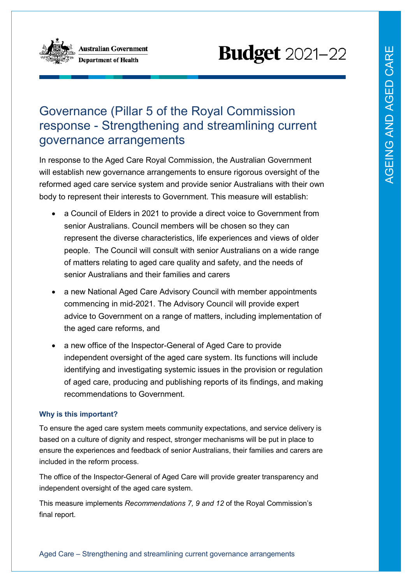

Australian Government **Department of Health** 

# **Budget** 2021-22

# Governance (Pillar 5 of the Royal Commission response - Strengthening and streamlining current governance arrangements

In response to the Aged Care Royal Commission, the Australian Government will establish new governance arrangements to ensure rigorous oversight of the reformed aged care service system and provide senior Australians with their own body to represent their interests to Government. This measure will establish:

- a Council of Elders in 2021 to provide a direct voice to Government from senior Australians. Council members will be chosen so they can represent the diverse characteristics, life experiences and views of older people. The Council will consult with senior Australians on a wide range of matters relating to aged care quality and safety, and the needs of senior Australians and their families and carers
- a new National Aged Care Advisory Council with member appointments commencing in mid-2021. The Advisory Council will provide expert advice to Government on a range of matters, including implementation of the aged care reforms, and
- a new office of the Inspector-General of Aged Care to provide independent oversight of the aged care system. Its functions will include identifying and investigating systemic issues in the provision or regulation of aged care, producing and publishing reports of its findings, and making recommendations to Government.

## **Why is this important?**

To ensure the aged care system meets community expectations, and service delivery is based on a culture of dignity and respect, stronger mechanisms will be put in place to ensure the experiences and feedback of senior Australians, their families and carers are included in the reform process.

The office of the Inspector-General of Aged Care will provide greater transparency and independent oversight of the aged care system.

This measure implements *Recommendations 7, 9 and 12* of the Royal Commission's final report.